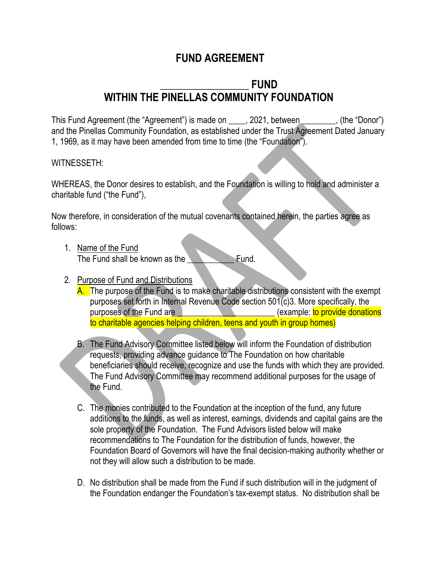# **FUND AGREEMENT**

# **\_\_\_\_\_\_\_\_\_\_\_\_\_\_\_\_\_ FUND WITHIN THE PINELLAS COMMUNITY FOUNDATION**

This Fund Agreement (the "Agreement") is made on \_\_\_\_, 2021, between \_\_\_\_\_\_, (the "Donor") and the Pinellas Community Foundation, as established under the Trust Agreement Dated January 1, 1969, as it may have been amended from time to time (the "Foundation").

### WITNESSETH:

WHEREAS, the Donor desires to establish, and the Foundation is willing to hold and administer a charitable fund ("the Fund"),

Now therefore, in consideration of the mutual covenants contained herein, the parties agree as follows:

- 1. Name of the Fund The Fund shall be known as the **The Fund.**
- 2. Purpose of Fund and Distributions
	- A. The purpose of the Fund is to make charitable distributions consistent with the exempt purposes set forth in Internal Revenue Code section 501(c)3. More specifically, the purposes of the Fund are **No. 1998** (example: to provide donations to charitable agencies helping children, teens and youth in group homes)
	- B. The Fund Advisory Committee listed below will inform the Foundation of distribution requests, providing advance guidance to The Foundation on how charitable beneficiaries should receive, recognize and use the funds with which they are provided. The Fund Advisory Committee may recommend additional purposes for the usage of the Fund.
	- C. The monies contributed to the Foundation at the inception of the fund, any future additions to the funds, as well as interest, earnings, dividends and capital gains are the sole property of the Foundation. The Fund Advisors listed below will make recommendations to The Foundation for the distribution of funds, however, the Foundation Board of Governors will have the final decision-making authority whether or not they will allow such a distribution to be made.
	- D. No distribution shall be made from the Fund if such distribution will in the judgment of the Foundation endanger the Foundation's tax-exempt status. No distribution shall be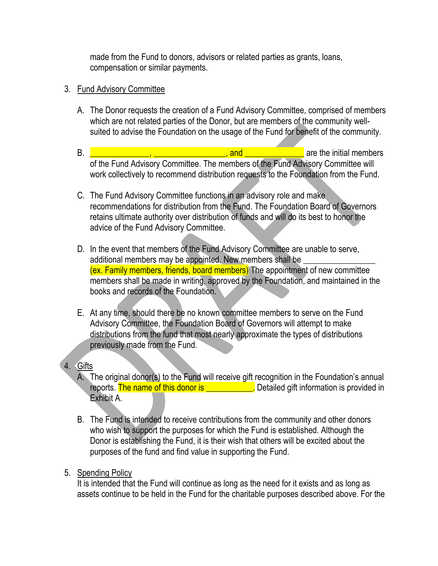made from the Fund to donors, advisors or related parties as grants, loans, compensation or similar payments.

## 3. Fund Advisory Committee

- A. The Donor requests the creation of a Fund Advisory Committee, comprised of members which are not related parties of the Donor, but are members of the community wellsuited to advise the Foundation on the usage of the Fund for benefit of the community.
- B.  $\Box$  are the initial members of the Fund Advisory Committee. The members of the Fund Advisory Committee will work collectively to recommend distribution requests to the Foundation from the Fund.
- C. The Fund Advisory Committee functions in an advisory role and make recommendations for distribution from the Fund. The Foundation Board of Governors retains ultimate authority over distribution of funds and will do its best to honor the advice of the Fund Advisory Committee.
- D. In the event that members of the Fund Advisory Committee are unable to serve, additional members may be appointed. New members shall be (ex. Family members, friends, board members) The appointment of new committee members shall be made in writing, approved by the Foundation, and maintained in the books and records of the Foundation.
- E. At any time, should there be no known committee members to serve on the Fund Advisory Committee, the Foundation Board of Governors will attempt to make distributions from the fund that most nearly approximate the types of distributions previously made from the Fund.

## 4. Gifts

- A. The original donor(s) to the Fund will receive gift recognition in the Foundation's annual reports. The name of this donor is **Example 20** Detailed gift information is provided in Exhibit A.
- B. The Fund is intended to receive contributions from the community and other donors who wish to support the purposes for which the Fund is established. Although the Donor is establishing the Fund, it is their wish that others will be excited about the purposes of the fund and find value in supporting the Fund.

## 5. Spending Policy

It is intended that the Fund will continue as long as the need for it exists and as long as assets continue to be held in the Fund for the charitable purposes described above. For the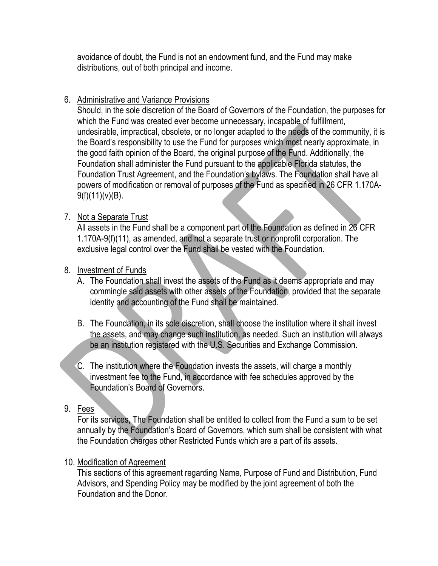avoidance of doubt, the Fund is not an endowment fund, and the Fund may make distributions, out of both principal and income.

## 6. Administrative and Variance Provisions

Should, in the sole discretion of the Board of Governors of the Foundation, the purposes for which the Fund was created ever become unnecessary, incapable of fulfillment, undesirable, impractical, obsolete, or no longer adapted to the needs of the community, it is the Board's responsibility to use the Fund for purposes which most nearly approximate, in the good faith opinion of the Board, the original purpose of the Fund. Additionally, the Foundation shall administer the Fund pursuant to the applicable Florida statutes, the Foundation Trust Agreement, and the Foundation's bylaws. The Foundation shall have all powers of modification or removal of purposes of the Fund as specified in 26 CFR 1.170A- $9(f)(11)(v)(B)$ .

# 7. Not a Separate Trust

All assets in the Fund shall be a component part of the Foundation as defined in 26 CFR 1.170A-9(f)(11), as amended, and not a separate trust or nonprofit corporation. The exclusive legal control over the Fund shall be vested with the Foundation.

# 8. Investment of Funds

- A. The Foundation shall invest the assets of the Fund as it deems appropriate and may commingle said assets with other assets of the Foundation, provided that the separate identity and accounting of the Fund shall be maintained.
- B. The Foundation, in its sole discretion, shall choose the institution where it shall invest the assets, and may change such institution, as needed. Such an institution will always be an institution registered with the U.S. Securities and Exchange Commission.
- C. The institution where the Foundation invests the assets, will charge a monthly investment fee to the Fund, in accordance with fee schedules approved by the Foundation's Board of Governors.

## 9. Fees

For its services, The Foundation shall be entitled to collect from the Fund a sum to be set annually by the Foundation's Board of Governors, which sum shall be consistent with what the Foundation charges other Restricted Funds which are a part of its assets.

## 10. Modification of Agreement

This sections of this agreement regarding Name, Purpose of Fund and Distribution, Fund Advisors, and Spending Policy may be modified by the joint agreement of both the Foundation and the Donor.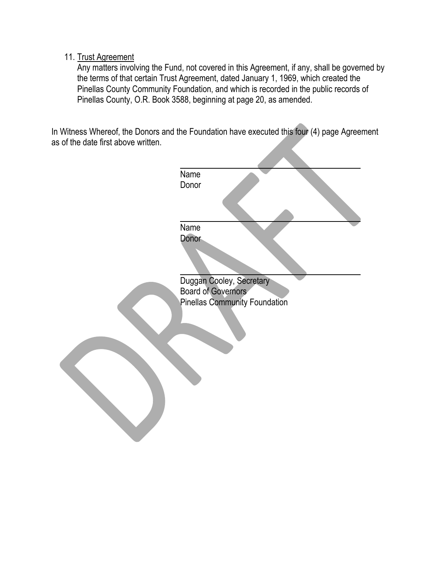### 11. Trust Agreement

Any matters involving the Fund, not covered in this Agreement, if any, shall be governed by the terms of that certain Trust Agreement, dated January 1, 1969, which created the Pinellas County Community Foundation, and which is recorded in the public records of Pinellas County, O.R. Book 3588, beginning at page 20, as amended.

In Witness Whereof, the Donors and the Foundation have executed this four (4) page Agreement as of the date first above written.

| Name                                 |
|--------------------------------------|
| Donor                                |
|                                      |
|                                      |
|                                      |
| Name                                 |
| <b>Donor</b>                         |
|                                      |
|                                      |
|                                      |
| Duggan Cooley, Secretary             |
| <b>Board of Governors</b>            |
| <b>Pinellas Community Foundation</b> |
|                                      |
|                                      |
|                                      |
|                                      |
|                                      |
|                                      |
|                                      |
|                                      |
|                                      |
|                                      |
|                                      |
|                                      |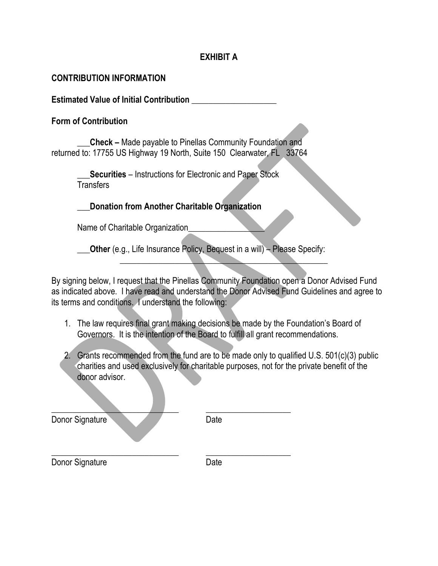## **EXHIBIT A**

#### **CONTRIBUTION INFORMATION**

**Estimated Value of Initial Contribution** \_\_\_\_\_\_\_\_\_\_\_\_\_\_\_\_\_\_\_\_

#### **Form of Contribution**

**\_\_\_Check –** Made payable to Pinellas Community Foundation and returned to: 17755 US Highway 19 North, Suite 150 Clearwater, FL 33764

> **Securities** – Instructions for Electronic and Paper Stock **Transfers**

\_\_\_**Donation from Another Charitable Organization**

Name of Charitable Organization

\_\_\_**Other** (e.g., Life Insurance Policy, Bequest in a will) – Please Specify:

By signing below, I request that the Pinellas Community Foundation open a Donor Advised Fund as indicated above. I have read and understand the Donor Advised Fund Guidelines and agree to its terms and conditions. I understand the following:

 $\blacksquare$ 

- 1. The law requires final grant making decisions be made by the Foundation's Board of Governors. It is the intention of the Board to fulfill all grant recommendations.
- 2. Grants recommended from the fund are to be made only to qualified U.S. 501(c)(3) public charities and used exclusively for charitable purposes, not for the private benefit of the donor advisor.

| Donor Signature | Date |
|-----------------|------|
| Donor Signature | Date |